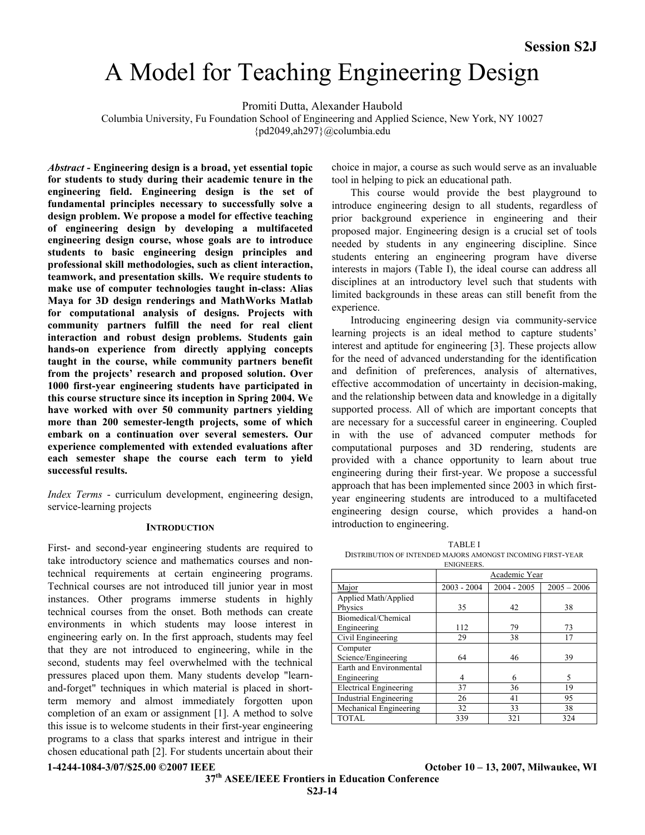# A Model for Teaching Engineering Design

Promiti Dutta, Alexander Haubold

Columbia University, Fu Foundation School of Engineering and Applied Science, New York, NY 10027 {pd2049,ah297}@columbia.edu

*Abstract* **- Engineering design is a broad, yet essential topic for students to study during their academic tenure in the engineering field. Engineering design is the set of fundamental principles necessary to successfully solve a design problem. We propose a model for effective teaching of engineering design by developing a multifaceted engineering design course, whose goals are to introduce students to basic engineering design principles and professional skill methodologies, such as client interaction, teamwork, and presentation skills. We require students to make use of computer technologies taught in-class: Alias Maya for 3D design renderings and MathWorks Matlab for computational analysis of designs. Projects with community partners fulfill the need for real client interaction and robust design problems. Students gain hands-on experience from directly applying concepts taught in the course, while community partners benefit from the projects' research and proposed solution. Over 1000 first-year engineering students have participated in this course structure since its inception in Spring 2004. We have worked with over 50 community partners yielding more than 200 semester-length projects, some of which embark on a continuation over several semesters. Our experience complemented with extended evaluations after each semester shape the course each term to yield successful results.** 

*Index Terms* - curriculum development, engineering design, service-learning projects

### **INTRODUCTION**

First- and second-year engineering students are required to take introductory science and mathematics courses and nontechnical requirements at certain engineering programs. Technical courses are not introduced till junior year in most instances. Other programs immerse students in highly technical courses from the onset. Both methods can create environments in which students may loose interest in engineering early on. In the first approach, students may feel that they are not introduced to engineering, while in the second, students may feel overwhelmed with the technical pressures placed upon them. Many students develop "learnand-forget" techniques in which material is placed in shortterm memory and almost immediately forgotten upon completion of an exam or assignment [1]. A method to solve this issue is to welcome students in their first-year engineering programs to a class that sparks interest and intrigue in their chosen educational path [2]. For students uncertain about their

choice in major, a course as such would serve as an invaluable tool in helping to pick an educational path.

This course would provide the best playground to introduce engineering design to all students, regardless of prior background experience in engineering and their proposed major. Engineering design is a crucial set of tools needed by students in any engineering discipline. Since students entering an engineering program have diverse interests in majors (Table I), the ideal course can address all disciplines at an introductory level such that students with limited backgrounds in these areas can still benefit from the experience.

Introducing engineering design via community-service learning projects is an ideal method to capture students' interest and aptitude for engineering [3]. These projects allow for the need of advanced understanding for the identification and definition of preferences, analysis of alternatives, effective accommodation of uncertainty in decision-making, and the relationship between data and knowledge in a digitally supported process. All of which are important concepts that are necessary for a successful career in engineering. Coupled in with the use of advanced computer methods for computational purposes and 3D rendering, students are provided with a chance opportunity to learn about true engineering during their first-year. We propose a successful approach that has been implemented since 2003 in which firstyear engineering students are introduced to a multifaceted engineering design course, which provides a hand-on introduction to engineering.

TABLE I DISTRIBUTION OF INTENDED MAJORS AMONGST INCOMING FIRST-YEAR

| <b>ENIGNEERS.</b>             |               |               |               |
|-------------------------------|---------------|---------------|---------------|
|                               | Academic Year |               |               |
| Major                         | $2003 - 2004$ | $2004 - 2005$ | $2005 - 2006$ |
| Applied Math/Applied          |               |               |               |
| Physics                       | 35            | 42            | 38            |
| Biomedical/Chemical           |               |               |               |
| Engineering                   | 112           | 79            | 73            |
| Civil Engineering             | 29            | 38            | 17            |
| Computer                      |               |               |               |
| Science/Engineering           | 64            | 46            | 39            |
| Earth and Environmental       |               |               |               |
| Engineering                   | 4             | 6             | 5             |
| <b>Electrical Engineering</b> | 37            | 36            | 19            |
| <b>Industrial Engineering</b> | 26            | 41            | 95            |
| Mechanical Engineering        | 32            | 33            | 38            |
| <b>TOTAL</b>                  | 339           | 321           | 324           |

# **1-4244-1084-3/07/\$25.00 ©2007 IEEE October 10 – 13, 2007, Milwaukee, WI**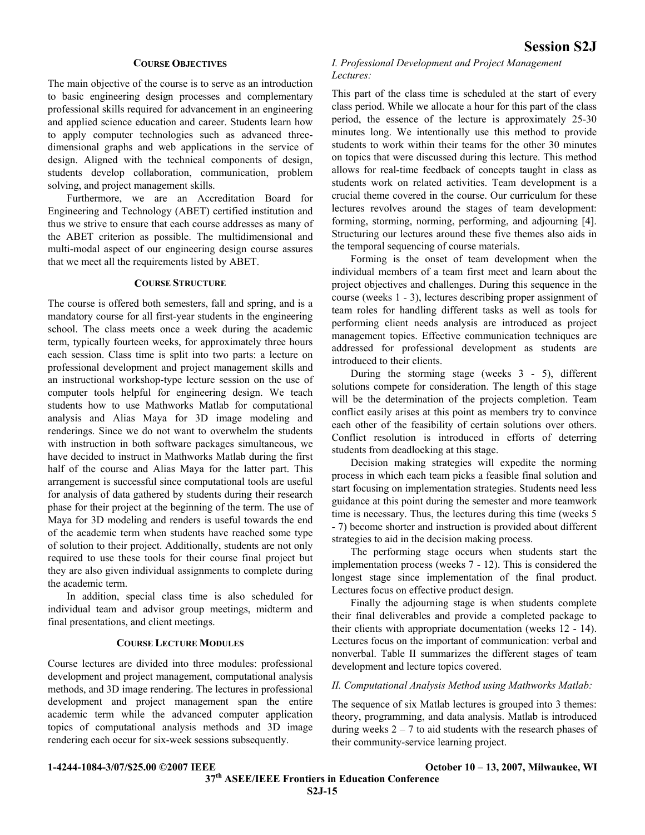# **COURSE OBJECTIVES**

The main objective of the course is to serve as an introduction to basic engineering design processes and complementary professional skills required for advancement in an engineering and applied science education and career. Students learn how to apply computer technologies such as advanced threedimensional graphs and web applications in the service of design. Aligned with the technical components of design, students develop collaboration, communication, problem solving, and project management skills.

Furthermore, we are an Accreditation Board for Engineering and Technology (ABET) certified institution and thus we strive to ensure that each course addresses as many of the ABET criterion as possible. The multidimensional and multi-modal aspect of our engineering design course assures that we meet all the requirements listed by ABET.

# **COURSE STRUCTURE**

The course is offered both semesters, fall and spring, and is a mandatory course for all first-year students in the engineering school. The class meets once a week during the academic term, typically fourteen weeks, for approximately three hours each session. Class time is split into two parts: a lecture on professional development and project management skills and an instructional workshop-type lecture session on the use of computer tools helpful for engineering design. We teach students how to use Mathworks Matlab for computational analysis and Alias Maya for 3D image modeling and renderings. Since we do not want to overwhelm the students with instruction in both software packages simultaneous, we have decided to instruct in Mathworks Matlab during the first half of the course and Alias Maya for the latter part. This arrangement is successful since computational tools are useful for analysis of data gathered by students during their research phase for their project at the beginning of the term. The use of Maya for 3D modeling and renders is useful towards the end of the academic term when students have reached some type of solution to their project. Additionally, students are not only required to use these tools for their course final project but they are also given individual assignments to complete during the academic term.

In addition, special class time is also scheduled for individual team and advisor group meetings, midterm and final presentations, and client meetings.

# **COURSE LECTURE MODULES**

Course lectures are divided into three modules: professional development and project management, computational analysis methods, and 3D image rendering. The lectures in professional development and project management span the entire academic term while the advanced computer application topics of computational analysis methods and 3D image rendering each occur for six-week sessions subsequently.

# *I. Professional Development and Project Management Lectures:*

This part of the class time is scheduled at the start of every class period. While we allocate a hour for this part of the class period, the essence of the lecture is approximately 25-30 minutes long. We intentionally use this method to provide students to work within their teams for the other 30 minutes on topics that were discussed during this lecture. This method allows for real-time feedback of concepts taught in class as students work on related activities. Team development is a crucial theme covered in the course. Our curriculum for these lectures revolves around the stages of team development: forming, storming, norming, performing, and adjourning [4]. Structuring our lectures around these five themes also aids in the temporal sequencing of course materials.

Forming is the onset of team development when the individual members of a team first meet and learn about the project objectives and challenges. During this sequence in the course (weeks 1 - 3), lectures describing proper assignment of team roles for handling different tasks as well as tools for performing client needs analysis are introduced as project management topics. Effective communication techniques are addressed for professional development as students are introduced to their clients.

During the storming stage (weeks 3 - 5), different solutions compete for consideration. The length of this stage will be the determination of the projects completion. Team conflict easily arises at this point as members try to convince each other of the feasibility of certain solutions over others. Conflict resolution is introduced in efforts of deterring students from deadlocking at this stage.

Decision making strategies will expedite the norming process in which each team picks a feasible final solution and start focusing on implementation strategies. Students need less guidance at this point during the semester and more teamwork time is necessary. Thus, the lectures during this time (weeks 5 - 7) become shorter and instruction is provided about different strategies to aid in the decision making process.

The performing stage occurs when students start the implementation process (weeks 7 - 12). This is considered the longest stage since implementation of the final product. Lectures focus on effective product design.

Finally the adjourning stage is when students complete their final deliverables and provide a completed package to their clients with appropriate documentation (weeks 12 - 14). Lectures focus on the important of communication: verbal and nonverbal. Table II summarizes the different stages of team development and lecture topics covered.

# *II. Computational Analysis Method using Mathworks Matlab:*

The sequence of six Matlab lectures is grouped into 3 themes: theory, programming, and data analysis. Matlab is introduced during weeks  $2 - 7$  to aid students with the research phases of their community-service learning project.

**1-4244-1084-3/07/\$25.00 ©2007 IEEE October 10 – 13, 2007, Milwaukee, WI**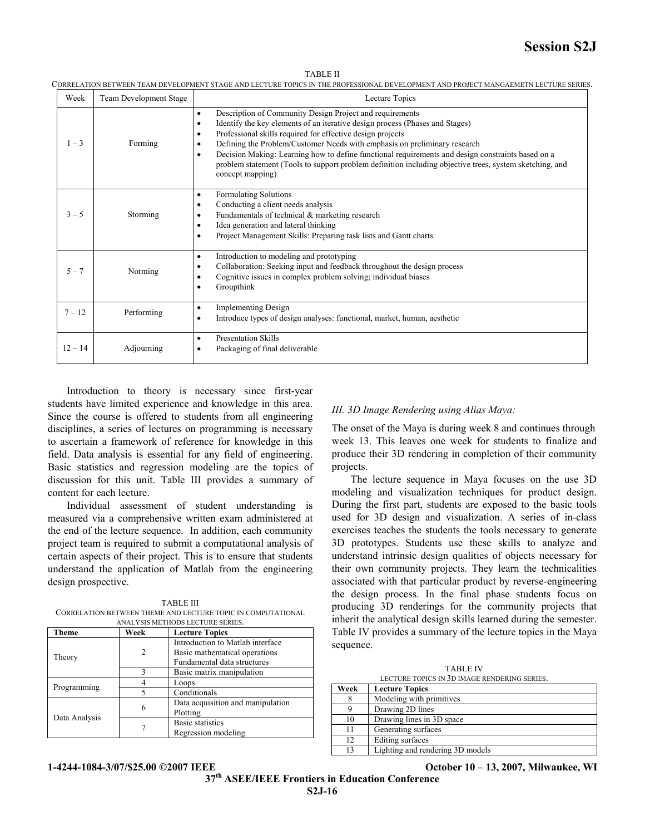#### TABLE II

| Week      | <b>Team Development Stage</b> | Lecture Topics                                                                                                                                                                                                                                                                                                                                                                                                                                                                                                                                                                   |
|-----------|-------------------------------|----------------------------------------------------------------------------------------------------------------------------------------------------------------------------------------------------------------------------------------------------------------------------------------------------------------------------------------------------------------------------------------------------------------------------------------------------------------------------------------------------------------------------------------------------------------------------------|
| $1 - 3$   | Forming                       | Description of Community Design Project and requirements<br>$\bullet$<br>Identify the key elements of an iterative design process (Phases and Stages)<br>$\bullet$<br>Professional skills required for effective design projects<br>٠<br>Defining the Problem/Customer Needs with emphasis on preliminary research<br>$\bullet$<br>Decision Making: Learning how to define functional requirements and design constraints based on a<br>$\bullet$<br>problem statement (Tools to support problem definition including objective trees, system sketching, and<br>concept mapping) |
| $3 - 5$   | Storming                      | <b>Formulating Solutions</b><br>٠<br>Conducting a client needs analysis<br>$\bullet$<br>Fundamentals of technical $\&$ marketing research<br>٠<br>Idea generation and lateral thinking<br>$\bullet$<br>Project Management Skills: Preparing task lists and Gantt charts<br>$\bullet$                                                                                                                                                                                                                                                                                             |
| $5 - 7$   | Norming                       | Introduction to modeling and prototyping<br>$\bullet$<br>Collaboration: Seeking input and feedback throughout the design process<br>٠<br>Cognitive issues in complex problem solving; individual biases<br>٠<br>Groupthink<br>$\bullet$                                                                                                                                                                                                                                                                                                                                          |
| $7 - 12$  | Performing                    | <b>Implementing Design</b><br>$\bullet$<br>Introduce types of design analyses: functional, market, human, aesthetic<br>٠                                                                                                                                                                                                                                                                                                                                                                                                                                                         |
| $12 - 14$ | Adjourning                    | <b>Presentation Skills</b><br>$\bullet$<br>Packaging of final deliverable<br>٠                                                                                                                                                                                                                                                                                                                                                                                                                                                                                                   |

CORRELATION BETWEEN TEAM DEVELOPMENT STAGE AND LECTURE TOPICS IN THE PROFESSIONAL DEVELOPMENT AND PROJECT MANGAEMETN LECTURE SERIES.

Introduction to theory is necessary since first-year students have limited experience and knowledge in this area. Since the course is offered to students from all engineering disciplines, a series of lectures on programming is necessary to ascertain a framework of reference for knowledge in this field. Data analysis is essential for any field of engineering. Basic statistics and regression modeling are the topics of discussion for this unit. Table III provides a summary of content for each lecture.

Individual assessment of student understanding is measured via a comprehensive written exam administered at the end of the lecture sequence. In addition, each community project team is required to submit a computational analysis of certain aspects of their project. This is to ensure that students understand the application of Matlab from the engineering design prospective.

TABLE III CORRELATION BETWEEN THEME AND LECTURE TOPIC IN COMPUTATIONAL ANALYSIS METHODS LECTURE SERIES.

| <b>Theme</b>  | Week | <b>Lecture Topics</b>             |  |  |
|---------------|------|-----------------------------------|--|--|
|               |      | Introduction to Matlab interface  |  |  |
| Theory        | 2    | Basic mathematical operations     |  |  |
|               |      | Fundamental data structures       |  |  |
|               |      | Basic matrix manipulation         |  |  |
| Programming   |      | Loops                             |  |  |
|               |      | Conditionals                      |  |  |
| Data Analysis |      | Data acquisition and manipulation |  |  |
|               | 6    | Plotting                          |  |  |
|               |      | <b>Basic statistics</b>           |  |  |
|               |      | Regression modeling               |  |  |

# *III. 3D Image Rendering using Alias Maya:*

The onset of the Maya is during week 8 and continues through week 13. This leaves one week for students to finalize and produce their 3D rendering in completion of their community projects.

The lecture sequence in Maya focuses on the use 3D modeling and visualization techniques for product design. During the first part, students are exposed to the basic tools used for 3D design and visualization. A series of in-class exercises teaches the students the tools necessary to generate 3D prototypes. Students use these skills to analyze and understand intrinsic design qualities of objects necessary for their own community projects. They learn the technicalities associated with that particular product by reverse-engineering the design process. In the final phase students focus on producing 3D renderings for the community projects that inherit the analytical design skills learned during the semester. Table IV provides a summary of the lecture topics in the Maya sequence.

| <b>TABLE IV</b>                              |
|----------------------------------------------|
| LECTURE TOPICS IN 3D IMAGE RENDERING SERIES. |

| Week | <b>Lecture Topics</b>            |
|------|----------------------------------|
|      | Modeling with primitives         |
|      | Drawing 2D lines                 |
| 10   | Drawing lines in 3D space        |
|      | Generating surfaces              |
| 12   | Editing surfaces                 |
| 13   | Lighting and rendering 3D models |

**1-4244-1084-3/07/\$25.00 ©2007 IEEE October 10 – 13, 2007, Milwaukee, WI**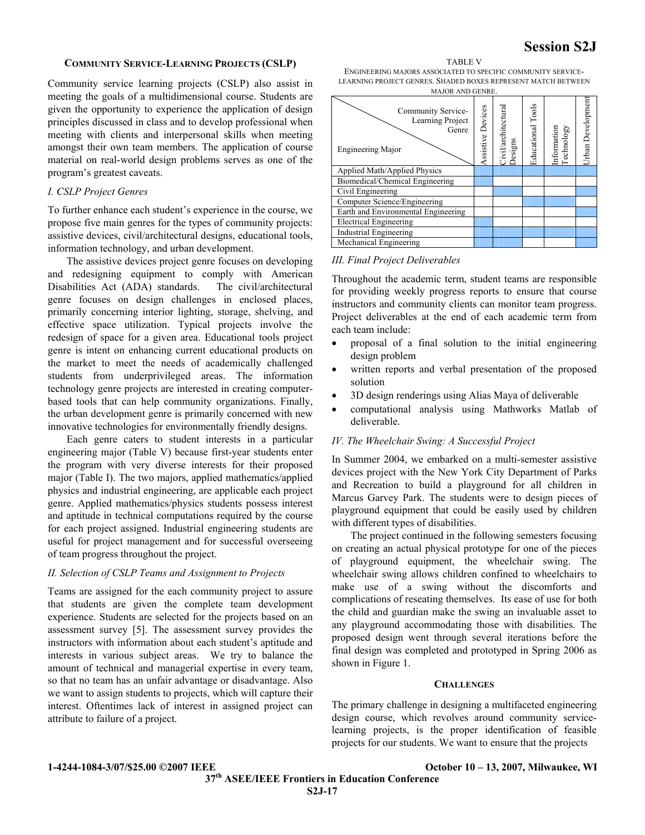# **COMMUNITY SERVICE-LEARNING PROJECTS (CSLP)**

Community service learning projects (CSLP) also assist in meeting the goals of a multidimensional course. Students are given the opportunity to experience the application of design principles discussed in class and to develop professional when meeting with clients and interpersonal skills when meeting amongst their own team members. The application of course material on real-world design problems serves as one of the program's greatest caveats.

# *I. CSLP Project Genres*

To further enhance each student's experience in the course, we propose five main genres for the types of community projects: assistive devices, civil/architectural designs, educational tools, information technology, and urban development.

The assistive devices project genre focuses on developing and redesigning equipment to comply with American Disabilities Act (ADA) standards. The civil/architectural genre focuses on design challenges in enclosed places, primarily concerning interior lighting, storage, shelving, and effective space utilization. Typical projects involve the redesign of space for a given area. Educational tools project genre is intent on enhancing current educational products on the market to meet the needs of academically challenged students from underprivileged areas. The information technology genre projects are interested in creating computerbased tools that can help community organizations. Finally, the urban development genre is primarily concerned with new innovative technologies for environmentally friendly designs.

Each genre caters to student interests in a particular engineering major (Table V) because first-year students enter the program with very diverse interests for their proposed major (Table I). The two majors, applied mathematics/applied physics and industrial engineering, are applicable each project genre. Applied mathematics/physics students possess interest and aptitude in technical computations required by the course for each project assigned. Industrial engineering students are useful for project management and for successful overseeing of team progress throughout the project.

#### *II. Selection of CSLP Teams and Assignment to Projects*

Teams are assigned for the each community project to assure that students are given the complete team development experience. Students are selected for the projects based on an assessment survey [5]. The assessment survey provides the instructors with information about each student's aptitude and interests in various subject areas. We try to balance the amount of technical and managerial expertise in every team, so that no team has an unfair advantage or disadvantage. Also we want to assign students to projects, which will capture their interest. Oftentimes lack of interest in assigned project can attribute to failure of a project.

TABLE V ENGINEERING MAJORS ASSOCIATED TO SPECIFIC COMMUNITY SERVICE-LEARNING PROJECT GENRES. SHADED BOXES REPRESENT MATCH BETWEEN MAJOR AND GENRE.

| Community Service-<br>Learning Project<br>Genre<br><b>Engineering Major</b> | <b>Assistive Devices</b> | Civil/architectural<br>besigns | Educational Tools | Information<br>Technology | Urban Development |
|-----------------------------------------------------------------------------|--------------------------|--------------------------------|-------------------|---------------------------|-------------------|
| Applied Math/Applied Physics                                                |                          |                                |                   |                           |                   |
| Biomedical/Chemical Engineering                                             |                          |                                |                   |                           |                   |
| Civil Engineering                                                           |                          |                                |                   |                           |                   |
| Computer Science/Engineering                                                |                          |                                |                   |                           |                   |
| Earth and Environmental Engineering                                         |                          |                                |                   |                           |                   |
| <b>Electrical Engineering</b>                                               |                          |                                |                   |                           |                   |
| <b>Industrial Engineering</b>                                               |                          |                                |                   |                           |                   |
| Mechanical Engineering                                                      |                          |                                |                   |                           |                   |

# *III. Final Project Deliverables*

Throughout the academic term, student teams are responsible for providing weekly progress reports to ensure that course instructors and community clients can monitor team progress. Project deliverables at the end of each academic term from each team include:

- proposal of a final solution to the initial engineering design problem
- written reports and verbal presentation of the proposed solution
- 3D design renderings using Alias Maya of deliverable
- computational analysis using Mathworks Matlab of deliverable.

# *IV. The Wheelchair Swing: A Successful Project*

In Summer 2004, we embarked on a multi-semester assistive devices project with the New York City Department of Parks and Recreation to build a playground for all children in Marcus Garvey Park. The students were to design pieces of playground equipment that could be easily used by children with different types of disabilities.

The project continued in the following semesters focusing on creating an actual physical prototype for one of the pieces of playground equipment, the wheelchair swing. The wheelchair swing allows children confined to wheelchairs to make use of a swing without the discomforts and complications of reseating themselves. Its ease of use for both the child and guardian make the swing an invaluable asset to any playground accommodating those with disabilities. The proposed design went through several iterations before the final design was completed and prototyped in Spring 2006 as shown in Figure 1.

# **CHALLENGES**

The primary challenge in designing a multifaceted engineering design course, which revolves around community servicelearning projects, is the proper identification of feasible projects for our students. We want to ensure that the projects

#### **1-4244-1084-3/07/\$25.00 ©2007 IEEE October 10 – 13, 2007, Milwaukee, WI**

# **Session S2J**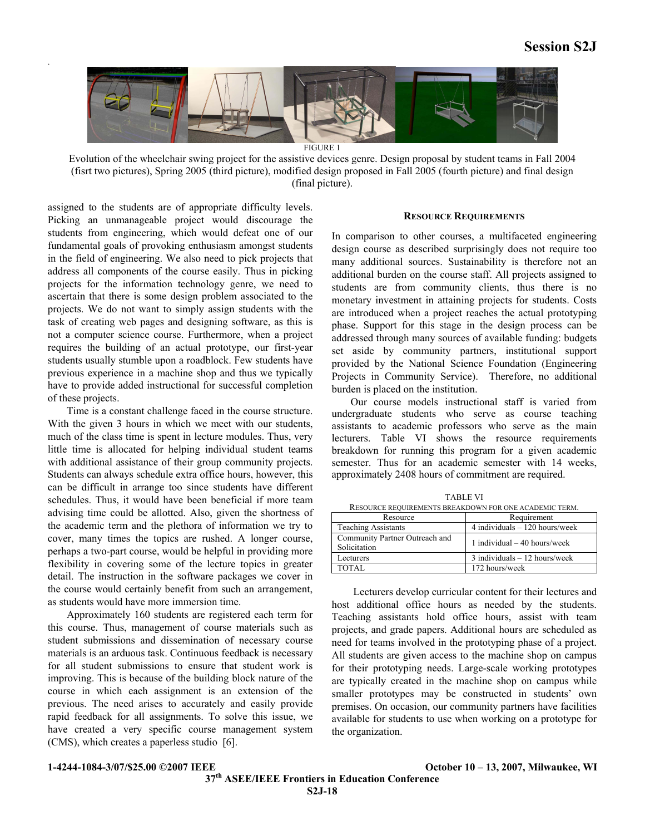

Evolution of the wheelchair swing project for the assistive devices genre. Design proposal by student teams in Fall 2004 (fisrt two pictures), Spring 2005 (third picture), modified design proposed in Fall 2005 (fourth picture) and final design (final picture).

assigned to the students are of appropriate difficulty levels. Picking an unmanageable project would discourage the students from engineering, which would defeat one of our fundamental goals of provoking enthusiasm amongst students in the field of engineering. We also need to pick projects that address all components of the course easily. Thus in picking projects for the information technology genre, we need to ascertain that there is some design problem associated to the projects. We do not want to simply assign students with the task of creating web pages and designing software, as this is not a computer science course. Furthermore, when a project requires the building of an actual prototype, our first-year students usually stumble upon a roadblock. Few students have previous experience in a machine shop and thus we typically have to provide added instructional for successful completion of these projects.

.

Time is a constant challenge faced in the course structure. With the given 3 hours in which we meet with our students, much of the class time is spent in lecture modules. Thus, very little time is allocated for helping individual student teams with additional assistance of their group community projects. Students can always schedule extra office hours, however, this can be difficult in arrange too since students have different schedules. Thus, it would have been beneficial if more team advising time could be allotted. Also, given the shortness of the academic term and the plethora of information we try to cover, many times the topics are rushed. A longer course, perhaps a two-part course, would be helpful in providing more flexibility in covering some of the lecture topics in greater detail. The instruction in the software packages we cover in the course would certainly benefit from such an arrangement, as students would have more immersion time.

Approximately 160 students are registered each term for this course. Thus, management of course materials such as student submissions and dissemination of necessary course materials is an arduous task. Continuous feedback is necessary for all student submissions to ensure that student work is improving. This is because of the building block nature of the course in which each assignment is an extension of the previous. The need arises to accurately and easily provide rapid feedback for all assignments. To solve this issue, we have created a very specific course management system (CMS), which creates a paperless studio [6].

### **RESOURCE REQUIREMENTS**

In comparison to other courses, a multifaceted engineering design course as described surprisingly does not require too many additional sources. Sustainability is therefore not an additional burden on the course staff. All projects assigned to students are from community clients, thus there is no monetary investment in attaining projects for students. Costs are introduced when a project reaches the actual prototyping phase. Support for this stage in the design process can be addressed through many sources of available funding: budgets set aside by community partners, institutional support provided by the National Science Foundation (Engineering Projects in Community Service). Therefore, no additional burden is placed on the institution.

Our course models instructional staff is varied from undergraduate students who serve as course teaching assistants to academic professors who serve as the main lecturers. Table VI shows the resource requirements breakdown for running this program for a given academic semester. Thus for an academic semester with 14 weeks, approximately 2408 hours of commitment are required.

| RESOURCE REQUIREMENTS BREAKDOWN FOR ONE ACADEMIC TERM. |                                   |  |
|--------------------------------------------------------|-----------------------------------|--|
| Resource                                               | Requirement                       |  |
| <b>Teaching Assistants</b>                             | $4$ individuals $-120$ hours/week |  |
| Community Partner Outreach and<br>Solicitation         | 1 individual $-40$ hours/week     |  |
| Lecturers                                              | $3$ individuals $-12$ hours/week  |  |
| TOTAL                                                  | 172 hours/week                    |  |

TABLE VI

 Lecturers develop curricular content for their lectures and host additional office hours as needed by the students. Teaching assistants hold office hours, assist with team projects, and grade papers. Additional hours are scheduled as need for teams involved in the prototyping phase of a project. All students are given access to the machine shop on campus for their prototyping needs. Large-scale working prototypes are typically created in the machine shop on campus while smaller prototypes may be constructed in students' own premises. On occasion, our community partners have facilities available for students to use when working on a prototype for the organization.

**1-4244-1084-3/07/\$25.00 ©2007 IEEE October 10 – 13, 2007, Milwaukee, WI** 

**37th ASEE/IEEE Frontiers in Education Conference**